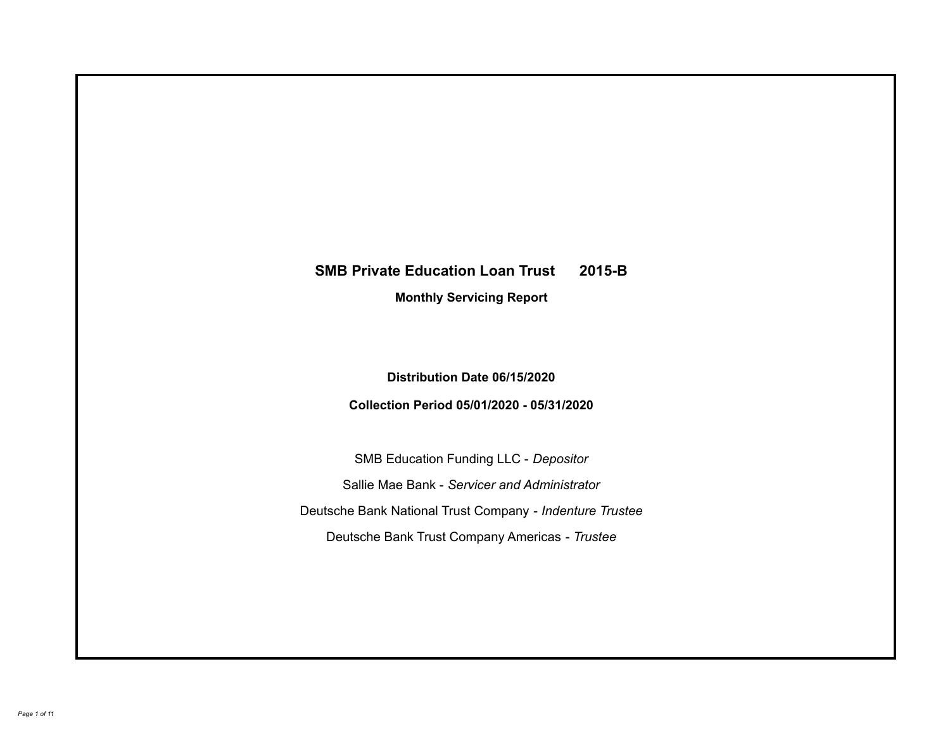# **SMB Private Education Loan Trust 2015-B Monthly Servicing Report**

**Distribution Date 06/15/2020**

**Collection Period 05/01/2020 - 05/31/2020**

SMB Education Funding LLC - *Depositor* Sallie Mae Bank - *Servicer and Administrator* Deutsche Bank National Trust Company - *Indenture Trustee* Deutsche Bank Trust Company Americas - *Trustee*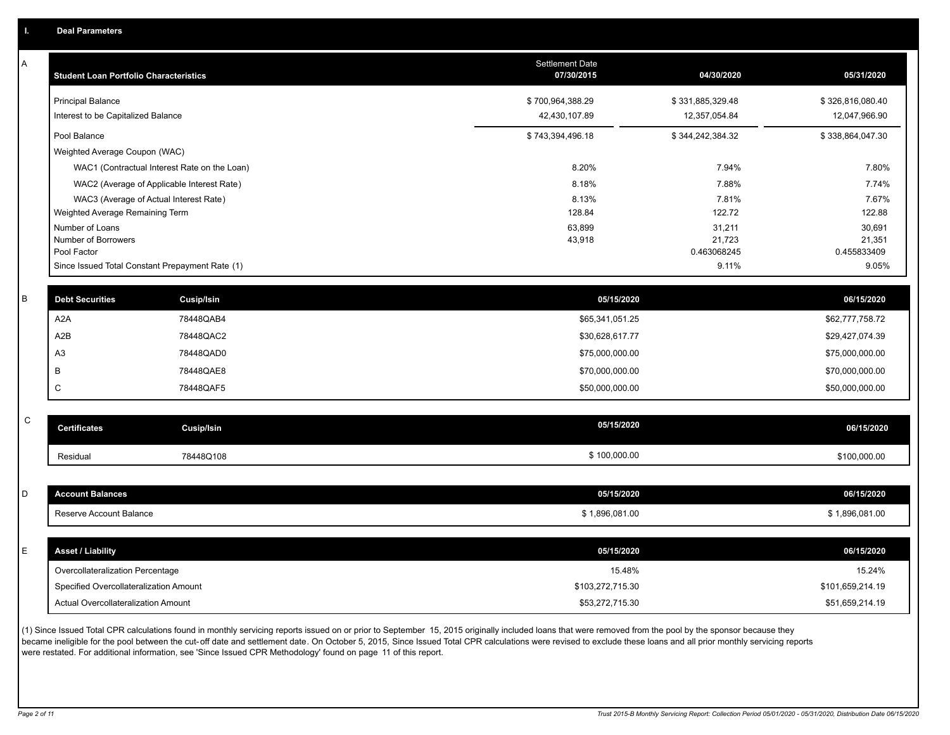A

| A           | <b>Student Loan Portfolio Characteristics</b> |                                                 | <b>Settlement Date</b><br>07/30/2015 | 04/30/2020            | 05/31/2020            |
|-------------|-----------------------------------------------|-------------------------------------------------|--------------------------------------|-----------------------|-----------------------|
|             | <b>Principal Balance</b>                      |                                                 | \$700,964,388.29                     | \$331,885,329.48      | \$326,816,080.40      |
|             | Interest to be Capitalized Balance            |                                                 | 42,430,107.89                        | 12,357,054.84         | 12,047,966.90         |
|             | Pool Balance                                  |                                                 | \$743,394,496.18                     | \$344,242,384.32      | \$338,864,047.30      |
|             | Weighted Average Coupon (WAC)                 |                                                 |                                      |                       |                       |
|             |                                               | WAC1 (Contractual Interest Rate on the Loan)    | 8.20%                                | 7.94%                 | 7.80%                 |
|             |                                               | WAC2 (Average of Applicable Interest Rate)      | 8.18%                                | 7.88%                 | 7.74%                 |
|             |                                               | WAC3 (Average of Actual Interest Rate)          | 8.13%                                | 7.81%                 | 7.67%                 |
|             | Weighted Average Remaining Term               |                                                 | 128.84                               | 122.72                | 122.88                |
|             | Number of Loans                               |                                                 | 63,899                               | 31,211                | 30,691                |
|             | Number of Borrowers<br>Pool Factor            |                                                 | 43,918                               | 21,723<br>0.463068245 | 21,351<br>0.455833409 |
|             |                                               | Since Issued Total Constant Prepayment Rate (1) |                                      | 9.11%                 | 9.05%                 |
|             |                                               |                                                 |                                      |                       |                       |
| В           | <b>Debt Securities</b>                        | Cusip/Isin                                      | 05/15/2020                           |                       | 06/15/2020            |
|             | A <sub>2</sub> A                              | 78448QAB4                                       | \$65,341,051.25                      |                       | \$62,777,758.72       |
|             | A2B                                           | 78448QAC2                                       | \$30,628,617.77                      |                       | \$29,427,074.39       |
|             | A <sub>3</sub>                                | 78448QAD0                                       | \$75,000,000.00                      |                       | \$75,000,000.00       |
|             | B                                             | 78448QAE8                                       | \$70,000,000.00                      |                       | \$70,000,000.00       |
|             | $\mathsf C$                                   | 78448QAF5                                       | \$50,000,000.00                      |                       | \$50,000,000.00       |
| $\mathsf C$ |                                               |                                                 |                                      |                       |                       |
|             | <b>Certificates</b>                           | <b>Cusip/Isin</b>                               | 05/15/2020                           |                       | 06/15/2020            |
|             | Residual                                      | 78448Q108                                       | \$100,000.00                         |                       | \$100,000.00          |
|             |                                               |                                                 |                                      |                       |                       |
| D           | <b>Account Balances</b>                       |                                                 | 05/15/2020                           |                       | 06/15/2020            |
|             | Reserve Account Balance                       |                                                 | \$1,896,081.00                       |                       | \$1,896,081.00        |
|             |                                               |                                                 |                                      |                       |                       |
| E.          | <b>Asset / Liability</b>                      |                                                 | 05/15/2020                           |                       | 06/15/2020            |
|             | Overcollateralization Percentage              |                                                 | 15.48%                               |                       | 15.24%                |
|             | Specified Overcollateralization Amount        |                                                 | \$103,272,715.30                     |                       | \$101,659,214.19      |
|             | Actual Overcollateralization Amount           |                                                 | \$53,272,715.30                      |                       | \$51,659,214.19       |

(1) Since Issued Total CPR calculations found in monthly servicing reports issued on or prior to September 15, 2015 originally included loans that were removed from the pool by the sponsor because they .<br>became ineligible for the pool between the cut-off date and settlement date. On October 5, 2015, Since Issued Total CPR calculations were revised to exclude these loans and all prior monthly servicing reports were restated. For additional information, see 'Since Issued CPR Methodology' found on page 11 of this report.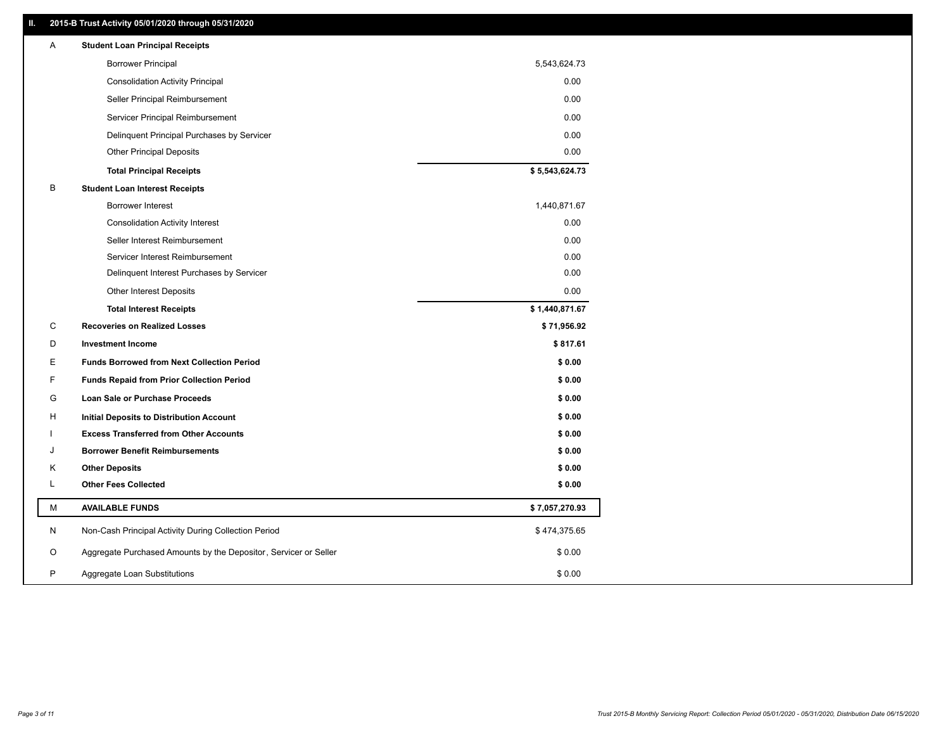## **II. 2015-B Trust Activity 05/01/2020 through 05/31/2020**

| <b>Borrower Principal</b><br>5,543,624.73<br><b>Consolidation Activity Principal</b><br>0.00<br>0.00<br>Seller Principal Reimbursement<br>0.00<br>Servicer Principal Reimbursement<br>Delinquent Principal Purchases by Servicer<br>0.00<br><b>Other Principal Deposits</b><br>0.00<br>\$5,543,624.73<br><b>Total Principal Receipts</b><br>В<br><b>Student Loan Interest Receipts</b><br><b>Borrower Interest</b><br>1,440,871.67<br><b>Consolidation Activity Interest</b><br>0.00<br>Seller Interest Reimbursement<br>0.00<br>Servicer Interest Reimbursement<br>0.00<br>0.00<br>Delinquent Interest Purchases by Servicer<br>Other Interest Deposits<br>0.00<br>\$1,440,871.67<br><b>Total Interest Receipts</b><br>C<br><b>Recoveries on Realized Losses</b><br>\$71,956.92<br>\$817.61<br>D<br><b>Investment Income</b><br>Е<br><b>Funds Borrowed from Next Collection Period</b><br>\$0.00<br>F<br><b>Funds Repaid from Prior Collection Period</b><br>\$0.00<br>G<br>\$0.00<br>Loan Sale or Purchase Proceeds<br>\$0.00<br>н<br>Initial Deposits to Distribution Account<br>\$0.00<br><b>Excess Transferred from Other Accounts</b><br><b>Borrower Benefit Reimbursements</b><br>\$0.00<br>J<br>Κ<br><b>Other Deposits</b><br>\$0.00<br>L<br><b>Other Fees Collected</b><br>\$0.00<br>М<br><b>AVAILABLE FUNDS</b><br>\$7,057,270.93<br>N<br>Non-Cash Principal Activity During Collection Period<br>\$474,375.65<br>O<br>Aggregate Purchased Amounts by the Depositor, Servicer or Seller<br>\$0.00<br>P<br>\$0.00<br>Aggregate Loan Substitutions | Α | <b>Student Loan Principal Receipts</b> |  |
|------------------------------------------------------------------------------------------------------------------------------------------------------------------------------------------------------------------------------------------------------------------------------------------------------------------------------------------------------------------------------------------------------------------------------------------------------------------------------------------------------------------------------------------------------------------------------------------------------------------------------------------------------------------------------------------------------------------------------------------------------------------------------------------------------------------------------------------------------------------------------------------------------------------------------------------------------------------------------------------------------------------------------------------------------------------------------------------------------------------------------------------------------------------------------------------------------------------------------------------------------------------------------------------------------------------------------------------------------------------------------------------------------------------------------------------------------------------------------------------------------------------------------------------------------------|---|----------------------------------------|--|
|                                                                                                                                                                                                                                                                                                                                                                                                                                                                                                                                                                                                                                                                                                                                                                                                                                                                                                                                                                                                                                                                                                                                                                                                                                                                                                                                                                                                                                                                                                                                                            |   |                                        |  |
|                                                                                                                                                                                                                                                                                                                                                                                                                                                                                                                                                                                                                                                                                                                                                                                                                                                                                                                                                                                                                                                                                                                                                                                                                                                                                                                                                                                                                                                                                                                                                            |   |                                        |  |
|                                                                                                                                                                                                                                                                                                                                                                                                                                                                                                                                                                                                                                                                                                                                                                                                                                                                                                                                                                                                                                                                                                                                                                                                                                                                                                                                                                                                                                                                                                                                                            |   |                                        |  |
|                                                                                                                                                                                                                                                                                                                                                                                                                                                                                                                                                                                                                                                                                                                                                                                                                                                                                                                                                                                                                                                                                                                                                                                                                                                                                                                                                                                                                                                                                                                                                            |   |                                        |  |
|                                                                                                                                                                                                                                                                                                                                                                                                                                                                                                                                                                                                                                                                                                                                                                                                                                                                                                                                                                                                                                                                                                                                                                                                                                                                                                                                                                                                                                                                                                                                                            |   |                                        |  |
|                                                                                                                                                                                                                                                                                                                                                                                                                                                                                                                                                                                                                                                                                                                                                                                                                                                                                                                                                                                                                                                                                                                                                                                                                                                                                                                                                                                                                                                                                                                                                            |   |                                        |  |
|                                                                                                                                                                                                                                                                                                                                                                                                                                                                                                                                                                                                                                                                                                                                                                                                                                                                                                                                                                                                                                                                                                                                                                                                                                                                                                                                                                                                                                                                                                                                                            |   |                                        |  |
|                                                                                                                                                                                                                                                                                                                                                                                                                                                                                                                                                                                                                                                                                                                                                                                                                                                                                                                                                                                                                                                                                                                                                                                                                                                                                                                                                                                                                                                                                                                                                            |   |                                        |  |
|                                                                                                                                                                                                                                                                                                                                                                                                                                                                                                                                                                                                                                                                                                                                                                                                                                                                                                                                                                                                                                                                                                                                                                                                                                                                                                                                                                                                                                                                                                                                                            |   |                                        |  |
|                                                                                                                                                                                                                                                                                                                                                                                                                                                                                                                                                                                                                                                                                                                                                                                                                                                                                                                                                                                                                                                                                                                                                                                                                                                                                                                                                                                                                                                                                                                                                            |   |                                        |  |
|                                                                                                                                                                                                                                                                                                                                                                                                                                                                                                                                                                                                                                                                                                                                                                                                                                                                                                                                                                                                                                                                                                                                                                                                                                                                                                                                                                                                                                                                                                                                                            |   |                                        |  |
|                                                                                                                                                                                                                                                                                                                                                                                                                                                                                                                                                                                                                                                                                                                                                                                                                                                                                                                                                                                                                                                                                                                                                                                                                                                                                                                                                                                                                                                                                                                                                            |   |                                        |  |
|                                                                                                                                                                                                                                                                                                                                                                                                                                                                                                                                                                                                                                                                                                                                                                                                                                                                                                                                                                                                                                                                                                                                                                                                                                                                                                                                                                                                                                                                                                                                                            |   |                                        |  |
|                                                                                                                                                                                                                                                                                                                                                                                                                                                                                                                                                                                                                                                                                                                                                                                                                                                                                                                                                                                                                                                                                                                                                                                                                                                                                                                                                                                                                                                                                                                                                            |   |                                        |  |
|                                                                                                                                                                                                                                                                                                                                                                                                                                                                                                                                                                                                                                                                                                                                                                                                                                                                                                                                                                                                                                                                                                                                                                                                                                                                                                                                                                                                                                                                                                                                                            |   |                                        |  |
|                                                                                                                                                                                                                                                                                                                                                                                                                                                                                                                                                                                                                                                                                                                                                                                                                                                                                                                                                                                                                                                                                                                                                                                                                                                                                                                                                                                                                                                                                                                                                            |   |                                        |  |
|                                                                                                                                                                                                                                                                                                                                                                                                                                                                                                                                                                                                                                                                                                                                                                                                                                                                                                                                                                                                                                                                                                                                                                                                                                                                                                                                                                                                                                                                                                                                                            |   |                                        |  |
|                                                                                                                                                                                                                                                                                                                                                                                                                                                                                                                                                                                                                                                                                                                                                                                                                                                                                                                                                                                                                                                                                                                                                                                                                                                                                                                                                                                                                                                                                                                                                            |   |                                        |  |
|                                                                                                                                                                                                                                                                                                                                                                                                                                                                                                                                                                                                                                                                                                                                                                                                                                                                                                                                                                                                                                                                                                                                                                                                                                                                                                                                                                                                                                                                                                                                                            |   |                                        |  |
|                                                                                                                                                                                                                                                                                                                                                                                                                                                                                                                                                                                                                                                                                                                                                                                                                                                                                                                                                                                                                                                                                                                                                                                                                                                                                                                                                                                                                                                                                                                                                            |   |                                        |  |
|                                                                                                                                                                                                                                                                                                                                                                                                                                                                                                                                                                                                                                                                                                                                                                                                                                                                                                                                                                                                                                                                                                                                                                                                                                                                                                                                                                                                                                                                                                                                                            |   |                                        |  |
|                                                                                                                                                                                                                                                                                                                                                                                                                                                                                                                                                                                                                                                                                                                                                                                                                                                                                                                                                                                                                                                                                                                                                                                                                                                                                                                                                                                                                                                                                                                                                            |   |                                        |  |
|                                                                                                                                                                                                                                                                                                                                                                                                                                                                                                                                                                                                                                                                                                                                                                                                                                                                                                                                                                                                                                                                                                                                                                                                                                                                                                                                                                                                                                                                                                                                                            |   |                                        |  |
|                                                                                                                                                                                                                                                                                                                                                                                                                                                                                                                                                                                                                                                                                                                                                                                                                                                                                                                                                                                                                                                                                                                                                                                                                                                                                                                                                                                                                                                                                                                                                            |   |                                        |  |
|                                                                                                                                                                                                                                                                                                                                                                                                                                                                                                                                                                                                                                                                                                                                                                                                                                                                                                                                                                                                                                                                                                                                                                                                                                                                                                                                                                                                                                                                                                                                                            |   |                                        |  |
|                                                                                                                                                                                                                                                                                                                                                                                                                                                                                                                                                                                                                                                                                                                                                                                                                                                                                                                                                                                                                                                                                                                                                                                                                                                                                                                                                                                                                                                                                                                                                            |   |                                        |  |
|                                                                                                                                                                                                                                                                                                                                                                                                                                                                                                                                                                                                                                                                                                                                                                                                                                                                                                                                                                                                                                                                                                                                                                                                                                                                                                                                                                                                                                                                                                                                                            |   |                                        |  |
|                                                                                                                                                                                                                                                                                                                                                                                                                                                                                                                                                                                                                                                                                                                                                                                                                                                                                                                                                                                                                                                                                                                                                                                                                                                                                                                                                                                                                                                                                                                                                            |   |                                        |  |
|                                                                                                                                                                                                                                                                                                                                                                                                                                                                                                                                                                                                                                                                                                                                                                                                                                                                                                                                                                                                                                                                                                                                                                                                                                                                                                                                                                                                                                                                                                                                                            |   |                                        |  |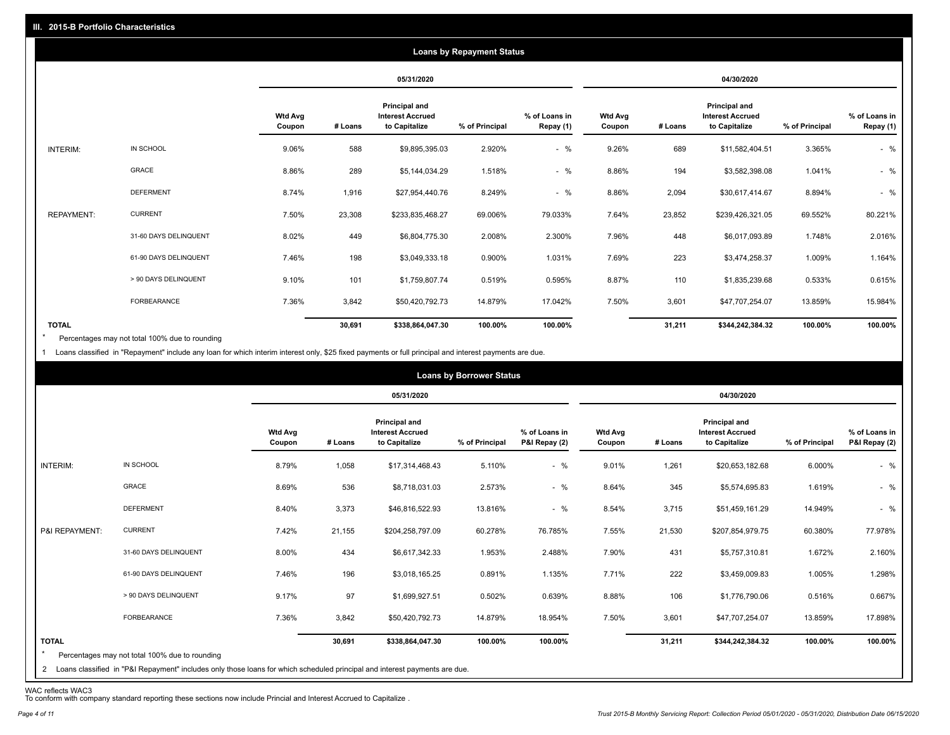|                   |                       |                          |         |                                                                  | <b>Loans by Repayment Status</b> |                            |                          |         |                                                           |                |                            |
|-------------------|-----------------------|--------------------------|---------|------------------------------------------------------------------|----------------------------------|----------------------------|--------------------------|---------|-----------------------------------------------------------|----------------|----------------------------|
|                   |                       |                          |         | 05/31/2020                                                       |                                  |                            |                          |         | 04/30/2020                                                |                |                            |
|                   |                       | <b>Wtd Avg</b><br>Coupon | # Loans | <b>Principal and</b><br><b>Interest Accrued</b><br>to Capitalize | % of Principal                   | % of Loans in<br>Repay (1) | <b>Wtd Avg</b><br>Coupon | # Loans | Principal and<br><b>Interest Accrued</b><br>to Capitalize | % of Principal | % of Loans in<br>Repay (1) |
| INTERIM:          | IN SCHOOL             | 9.06%                    | 588     | \$9,895,395.03                                                   | 2.920%                           | $-$ %                      | 9.26%                    | 689     | \$11,582,404.51                                           | 3.365%         | $-$ %                      |
|                   | <b>GRACE</b>          | 8.86%                    | 289     | \$5,144,034.29                                                   | 1.518%                           | $-$ %                      | 8.86%                    | 194     | \$3,582,398.08                                            | 1.041%         | $-$ %                      |
|                   | <b>DEFERMENT</b>      | 8.74%                    | 1,916   | \$27,954,440.76                                                  | 8.249%                           | $-$ %                      | 8.86%                    | 2,094   | \$30,617,414.67                                           | 8.894%         | $-$ %                      |
| <b>REPAYMENT:</b> | <b>CURRENT</b>        | 7.50%                    | 23,308  | \$233,835,468.27                                                 | 69.006%                          | 79.033%                    | 7.64%                    | 23,852  | \$239,426,321.05                                          | 69.552%        | 80.221%                    |
|                   | 31-60 DAYS DELINQUENT | 8.02%                    | 449     | \$6,804,775.30                                                   | 2.008%                           | 2.300%                     | 7.96%                    | 448     | \$6,017,093.89                                            | 1.748%         | 2.016%                     |
|                   | 61-90 DAYS DELINQUENT | 7.46%                    | 198     | \$3,049,333.18                                                   | 0.900%                           | 1.031%                     | 7.69%                    | 223     | \$3,474,258.37                                            | 1.009%         | 1.164%                     |
|                   | > 90 DAYS DELINQUENT  | 9.10%                    | 101     | \$1,759,807.74                                                   | 0.519%                           | 0.595%                     | 8.87%                    | 110     | \$1,835,239.68                                            | 0.533%         | 0.615%                     |
|                   | FORBEARANCE           | 7.36%                    | 3,842   | \$50,420,792.73                                                  | 14.879%                          | 17.042%                    | 7.50%                    | 3,601   | \$47,707,254.07                                           | 13.859%        | 15.984%                    |
| <b>TOTAL</b>      |                       |                          | 30,691  | \$338,864,047.30                                                 | 100.00%                          | 100.00%                    |                          | 31,211  | \$344,242,384.32                                          | 100.00%        | 100.00%                    |

Percentages may not total 100% due to rounding  $\star$ 

1 Loans classified in "Repayment" include any loan for which interim interest only, \$25 fixed payments or full principal and interest payments are due.

| 05/31/2020<br>04/30/2020<br>Principal and<br><b>Principal and</b><br><b>Wtd Avg</b><br><b>Interest Accrued</b><br>% of Loans in<br><b>Wtd Avg</b><br><b>Interest Accrued</b><br># Loans<br>to Capitalize<br>% of Principal<br>P&I Repay (2)<br>to Capitalize<br>% of Principal<br>Coupon<br># Loans<br>Coupon<br>IN SCHOOL<br>$-$ %<br>8.79%<br>9.01%<br>INTERIM:<br>1,058<br>5.110%<br>1,261<br>\$20,653,182.68<br>6.000%<br>\$17,314,468.43<br>GRACE<br>8.69%<br>536<br>$-$ %<br>8.64%<br>345<br>2.573%<br>\$5,574,695.83<br>1.619%<br>\$8,718,031.03<br><b>DEFERMENT</b><br>$-$ %<br>8.40%<br>3,373<br>13.816%<br>8.54%<br>3,715<br>14.949%<br>\$46,816,522.93<br>\$51,459,161.29<br><b>CURRENT</b> |                                |
|--------------------------------------------------------------------------------------------------------------------------------------------------------------------------------------------------------------------------------------------------------------------------------------------------------------------------------------------------------------------------------------------------------------------------------------------------------------------------------------------------------------------------------------------------------------------------------------------------------------------------------------------------------------------------------------------------------|--------------------------------|
|                                                                                                                                                                                                                                                                                                                                                                                                                                                                                                                                                                                                                                                                                                        |                                |
|                                                                                                                                                                                                                                                                                                                                                                                                                                                                                                                                                                                                                                                                                                        | % of Loans in<br>P&I Repay (2) |
|                                                                                                                                                                                                                                                                                                                                                                                                                                                                                                                                                                                                                                                                                                        | $-$ %                          |
|                                                                                                                                                                                                                                                                                                                                                                                                                                                                                                                                                                                                                                                                                                        | $-$ %                          |
|                                                                                                                                                                                                                                                                                                                                                                                                                                                                                                                                                                                                                                                                                                        | $-$ %                          |
| P&I REPAYMENT:<br>7.42%<br>21,155<br>60.278%<br>7.55%<br>21,530<br>60.380%<br>\$204,258,797.09<br>76.785%<br>\$207,854,979.75                                                                                                                                                                                                                                                                                                                                                                                                                                                                                                                                                                          | 77.978%                        |
| 31-60 DAYS DELINQUENT<br>8.00%<br>434<br>1.953%<br>7.90%<br>431<br>1.672%<br>\$6,617,342.33<br>2.488%<br>\$5,757,310.81                                                                                                                                                                                                                                                                                                                                                                                                                                                                                                                                                                                | 2.160%                         |
| 222<br>61-90 DAYS DELINQUENT<br>7.46%<br>196<br>0.891%<br>1.135%<br>1.005%<br>\$3,018,165.25<br>7.71%<br>\$3,459,009.83                                                                                                                                                                                                                                                                                                                                                                                                                                                                                                                                                                                | 1.298%                         |
| 97<br>> 90 DAYS DELINQUENT<br>9.17%<br>106<br>\$1,699,927.51<br>0.502%<br>0.639%<br>8.88%<br>\$1,776,790.06<br>0.516%                                                                                                                                                                                                                                                                                                                                                                                                                                                                                                                                                                                  | 0.667%                         |
| FORBEARANCE<br>7.36%<br>3,842<br>14.879%<br>7.50%<br>3,601<br>13.859%<br>\$50,420,792.73<br>18.954%<br>\$47,707,254.07                                                                                                                                                                                                                                                                                                                                                                                                                                                                                                                                                                                 | 17.898%                        |
| <b>TOTAL</b><br>100.00%<br>100.00%<br>30,691<br>31,211<br>\$344,242,384.32<br>100.00%<br>\$338,864,047.30<br>$\star$<br>Percentages may not total 100% due to rounding<br>2 Loans classified in "P&I Repayment" includes only those loans for which scheduled principal and interest payments are due.                                                                                                                                                                                                                                                                                                                                                                                                 | 100.00%                        |

WAC reflects WAC3 To conform with company standard reporting these sections now include Princial and Interest Accrued to Capitalize .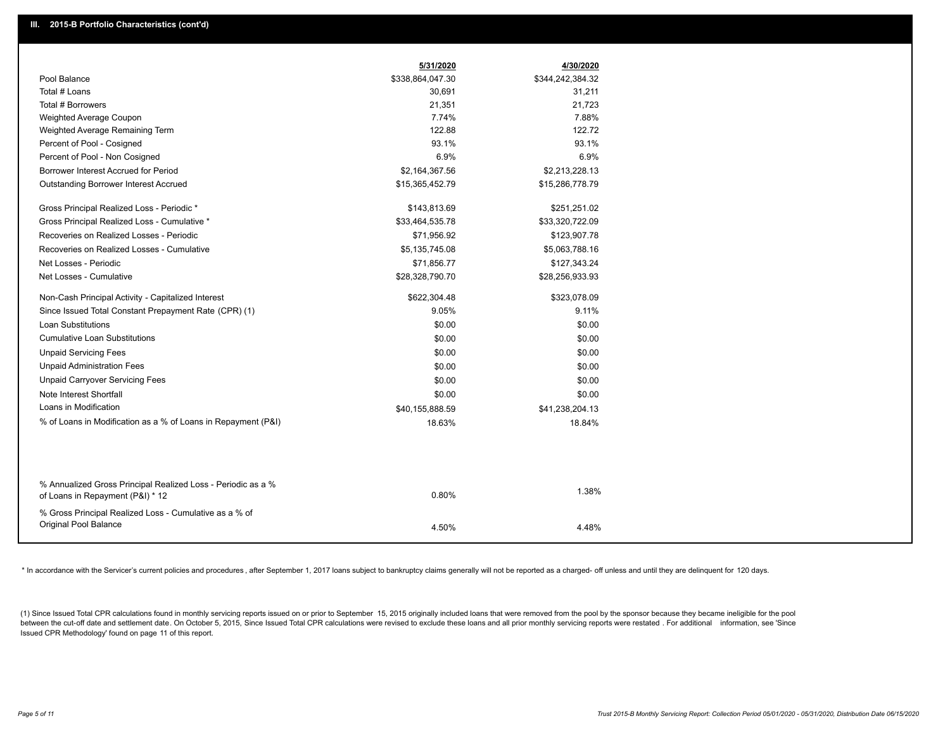|                                                                                                  | 5/31/2020        | 4/30/2020        |
|--------------------------------------------------------------------------------------------------|------------------|------------------|
| Pool Balance                                                                                     | \$338,864,047.30 | \$344,242,384.32 |
| Total # Loans                                                                                    | 30,691           | 31,211           |
| Total # Borrowers                                                                                | 21,351           | 21,723           |
| Weighted Average Coupon                                                                          | 7.74%            | 7.88%            |
| Weighted Average Remaining Term                                                                  | 122.88           | 122.72           |
| Percent of Pool - Cosigned                                                                       | 93.1%            | 93.1%            |
| Percent of Pool - Non Cosigned                                                                   | 6.9%             | 6.9%             |
| Borrower Interest Accrued for Period                                                             | \$2,164,367.56   | \$2,213,228.13   |
| <b>Outstanding Borrower Interest Accrued</b>                                                     | \$15,365,452.79  | \$15,286,778.79  |
| Gross Principal Realized Loss - Periodic *                                                       | \$143,813.69     | \$251,251.02     |
| Gross Principal Realized Loss - Cumulative *                                                     | \$33,464,535.78  | \$33,320,722.09  |
| Recoveries on Realized Losses - Periodic                                                         | \$71,956.92      | \$123,907.78     |
| Recoveries on Realized Losses - Cumulative                                                       | \$5,135,745.08   | \$5,063,788.16   |
| Net Losses - Periodic                                                                            | \$71,856.77      | \$127,343.24     |
| Net Losses - Cumulative                                                                          | \$28,328,790.70  | \$28,256,933.93  |
| Non-Cash Principal Activity - Capitalized Interest                                               | \$622,304.48     | \$323,078.09     |
| Since Issued Total Constant Prepayment Rate (CPR) (1)                                            | 9.05%            | 9.11%            |
| Loan Substitutions                                                                               | \$0.00           | \$0.00           |
| <b>Cumulative Loan Substitutions</b>                                                             | \$0.00           | \$0.00           |
| <b>Unpaid Servicing Fees</b>                                                                     | \$0.00           | \$0.00           |
| <b>Unpaid Administration Fees</b>                                                                | \$0.00           | \$0.00           |
| <b>Unpaid Carryover Servicing Fees</b>                                                           | \$0.00           | \$0.00           |
| Note Interest Shortfall                                                                          | \$0.00           | \$0.00           |
| Loans in Modification                                                                            | \$40,155,888.59  | \$41,238,204.13  |
| % of Loans in Modification as a % of Loans in Repayment (P&I)                                    | 18.63%           | 18.84%           |
|                                                                                                  |                  |                  |
|                                                                                                  |                  |                  |
| % Annualized Gross Principal Realized Loss - Periodic as a %<br>of Loans in Repayment (P&I) * 12 | 0.80%            | 1.38%            |
| % Gross Principal Realized Loss - Cumulative as a % of                                           |                  |                  |
| <b>Original Pool Balance</b>                                                                     | 4.50%            | 4.48%            |

\* In accordance with the Servicer's current policies and procedures, after September 1, 2017 loans subject to bankruptcy claims generally will not be reported as a charged- off unless and until they are delinquent for 120

(1) Since Issued Total CPR calculations found in monthly servicing reports issued on or prior to September 15, 2015 originally included loans that were removed from the pool by the sponsor because they became ineligible fo between the cut-off date and settlement date. On October 5, 2015, Since Issued Total CPR calculations were revised to exclude these loans and all prior monthly servicing reports were restated. For additional information, s Issued CPR Methodology' found on page 11 of this report.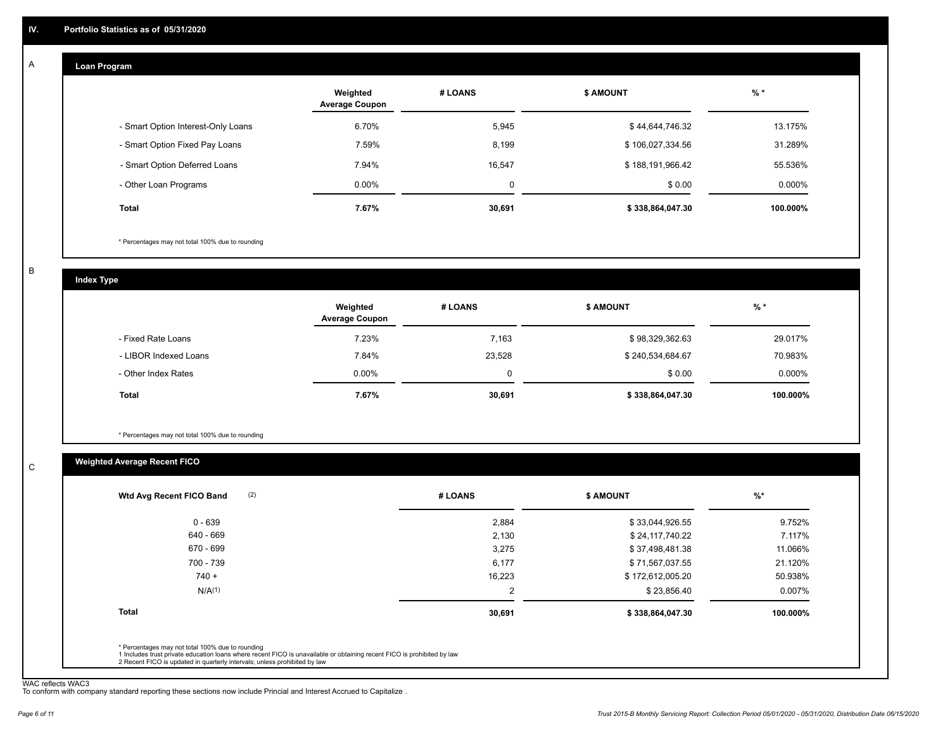#### **Loan Program**  A

|                                    | Weighted<br><b>Average Coupon</b> | # LOANS | <b>\$ AMOUNT</b> | $%$ *    |
|------------------------------------|-----------------------------------|---------|------------------|----------|
| - Smart Option Interest-Only Loans | 6.70%                             | 5,945   | \$44,644,746.32  | 13.175%  |
| - Smart Option Fixed Pay Loans     | 7.59%                             | 8,199   | \$106,027,334.56 | 31.289%  |
| - Smart Option Deferred Loans      | 7.94%                             | 16,547  | \$188,191,966.42 | 55.536%  |
| - Other Loan Programs              | $0.00\%$                          | 0       | \$0.00           | 0.000%   |
| <b>Total</b>                       | 7.67%                             | 30,691  | \$338,864,047.30 | 100.000% |

\* Percentages may not total 100% due to rounding

B

C

**Index Type**

|                       | Weighted<br><b>Average Coupon</b> | # LOANS | <b>\$ AMOUNT</b> | $%$ *     |
|-----------------------|-----------------------------------|---------|------------------|-----------|
| - Fixed Rate Loans    | 7.23%                             | 7,163   | \$98,329,362.63  | 29.017%   |
| - LIBOR Indexed Loans | 7.84%                             | 23,528  | \$240,534,684.67 | 70.983%   |
| - Other Index Rates   | $0.00\%$                          | 0       | \$0.00           | $0.000\%$ |
| <b>Total</b>          | 7.67%                             | 30,691  | \$338,864,047.30 | 100.000%  |

\* Percentages may not total 100% due to rounding

# **Weighted Average Recent FICO**

| \$33,044,926.55<br>\$24,117,740.22 | 9.752%   |
|------------------------------------|----------|
|                                    |          |
|                                    | 7.117%   |
| \$37,498,481.38                    | 11.066%  |
| \$71,567,037.55                    | 21.120%  |
| \$172,612,005.20                   | 50.938%  |
| \$23,856.40                        | 0.007%   |
| \$338,864,047.30                   | 100.000% |
|                                    |          |

WAC reflects WAC3 To conform with company standard reporting these sections now include Princial and Interest Accrued to Capitalize .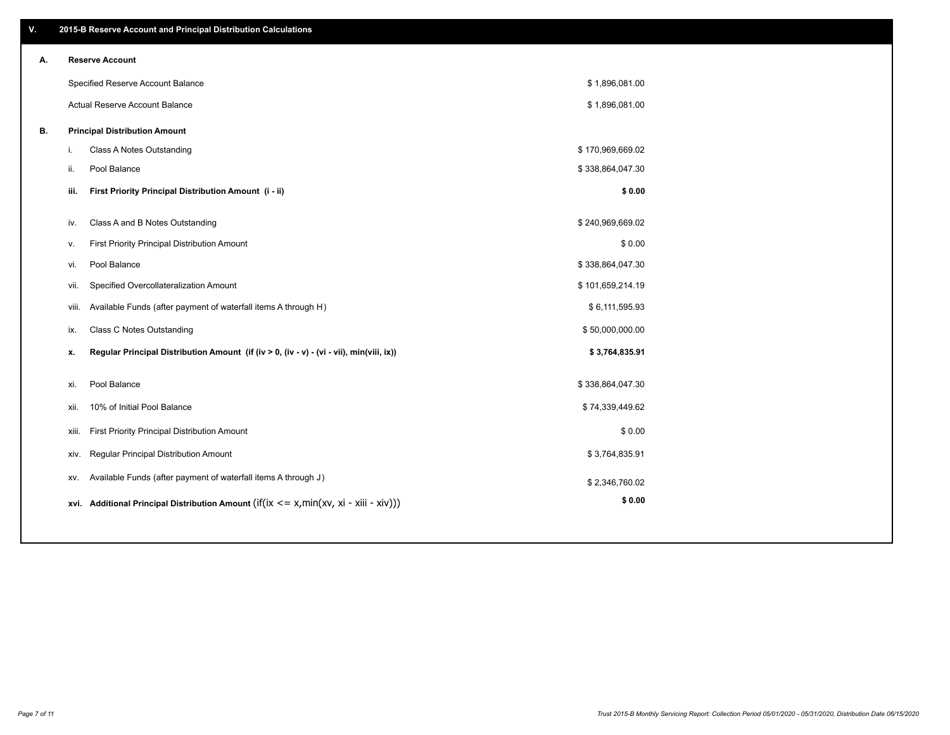| V. |       | 2015-B Reserve Account and Principal Distribution Calculations                             |                  |  |
|----|-------|--------------------------------------------------------------------------------------------|------------------|--|
| А. |       | <b>Reserve Account</b>                                                                     |                  |  |
|    |       | Specified Reserve Account Balance                                                          | \$1,896,081.00   |  |
|    |       | Actual Reserve Account Balance                                                             | \$1,896,081.00   |  |
| В. |       | <b>Principal Distribution Amount</b>                                                       |                  |  |
|    | j.    | Class A Notes Outstanding                                                                  | \$170,969,669.02 |  |
|    | ii.   | Pool Balance                                                                               | \$338,864,047.30 |  |
|    | iii.  | First Priority Principal Distribution Amount (i - ii)                                      | \$0.00           |  |
|    |       |                                                                                            |                  |  |
|    | iv.   | Class A and B Notes Outstanding                                                            | \$240,969,669.02 |  |
|    | v.    | First Priority Principal Distribution Amount                                               | \$0.00           |  |
|    | vi.   | Pool Balance                                                                               | \$338,864,047.30 |  |
|    | vii.  | Specified Overcollateralization Amount                                                     | \$101,659,214.19 |  |
|    | viii. | Available Funds (after payment of waterfall items A through H)                             | \$6,111,595.93   |  |
|    | ix.   | <b>Class C Notes Outstanding</b>                                                           | \$50,000,000.00  |  |
|    | x.    | Regular Principal Distribution Amount (if (iv > 0, (iv - v) - (vi - vii), min(viii, ix))   | \$3,764,835.91   |  |
|    |       |                                                                                            |                  |  |
|    | xi.   | Pool Balance                                                                               | \$338,864,047.30 |  |
|    | xii.  | 10% of Initial Pool Balance                                                                | \$74,339,449.62  |  |
|    | xiii. | First Priority Principal Distribution Amount                                               | \$0.00           |  |
|    | XIV.  | Regular Principal Distribution Amount                                                      | \$3,764,835.91   |  |
|    | XV.   | Available Funds (after payment of waterfall items A through J)                             | \$2,346,760.02   |  |
|    |       | xvi. Additional Principal Distribution Amount (if(ix $\lt$ = x, min(xv, xi - xiii - xiv))) | \$0.00           |  |
|    |       |                                                                                            |                  |  |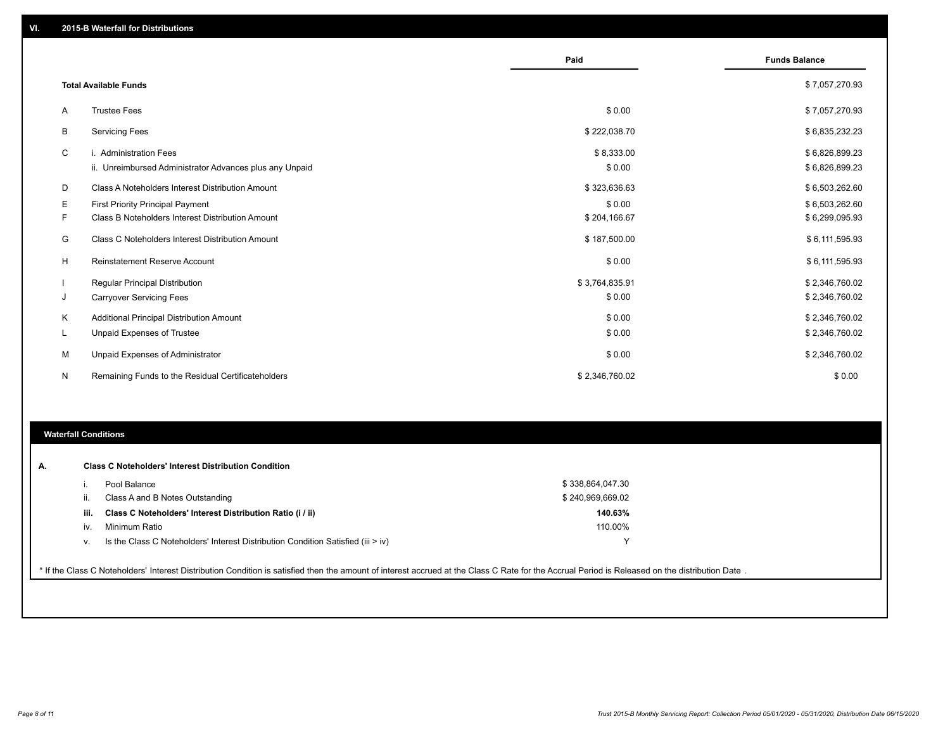|    |                                                         | Paid           | <b>Funds Balance</b> |
|----|---------------------------------------------------------|----------------|----------------------|
|    | <b>Total Available Funds</b>                            |                | \$7,057,270.93       |
|    |                                                         |                |                      |
| Α  | <b>Trustee Fees</b>                                     | \$0.00         | \$7,057,270.93       |
| В  | <b>Servicing Fees</b>                                   | \$222,038.70   | \$6,835,232.23       |
| C  | i. Administration Fees                                  | \$8,333.00     | \$6,826,899.23       |
|    | ii. Unreimbursed Administrator Advances plus any Unpaid | \$0.00         | \$6,826,899.23       |
| D  | Class A Noteholders Interest Distribution Amount        | \$323,636.63   | \$6,503,262.60       |
| Е  | First Priority Principal Payment                        | \$0.00         | \$6,503,262.60       |
| F. | Class B Noteholders Interest Distribution Amount        | \$204,166.67   | \$6,299,095.93       |
| G  | <b>Class C Noteholders Interest Distribution Amount</b> | \$187,500.00   | \$6,111,595.93       |
| H  | Reinstatement Reserve Account                           | \$0.00         | \$6,111,595.93       |
|    | Regular Principal Distribution                          | \$3,764,835.91 | \$2,346,760.02       |
| J  | <b>Carryover Servicing Fees</b>                         | \$0.00         | \$2,346,760.02       |
| Κ  | Additional Principal Distribution Amount                | \$0.00         | \$2,346,760.02       |
| L  | Unpaid Expenses of Trustee                              | \$0.00         | \$2,346,760.02       |
| M  | Unpaid Expenses of Administrator                        | \$0.00         | \$2,346,760.02       |
| N  | Remaining Funds to the Residual Certificateholders      | \$2,346,760.02 | \$0.00               |

### **Waterfall Conditions**

|      | Pool Balance                                                                     | \$338,864,047.30 |
|------|----------------------------------------------------------------------------------|------------------|
| Ш.   | Class A and B Notes Outstanding                                                  | \$240,969,669.02 |
| iii. | Class C Noteholders' Interest Distribution Ratio (i / ii)                        | 140.63%          |
| IV.  | Minimum Ratio                                                                    | 110.00%          |
| v.   | Is the Class C Noteholders' Interest Distribution Condition Satisfied (iii > iv) |                  |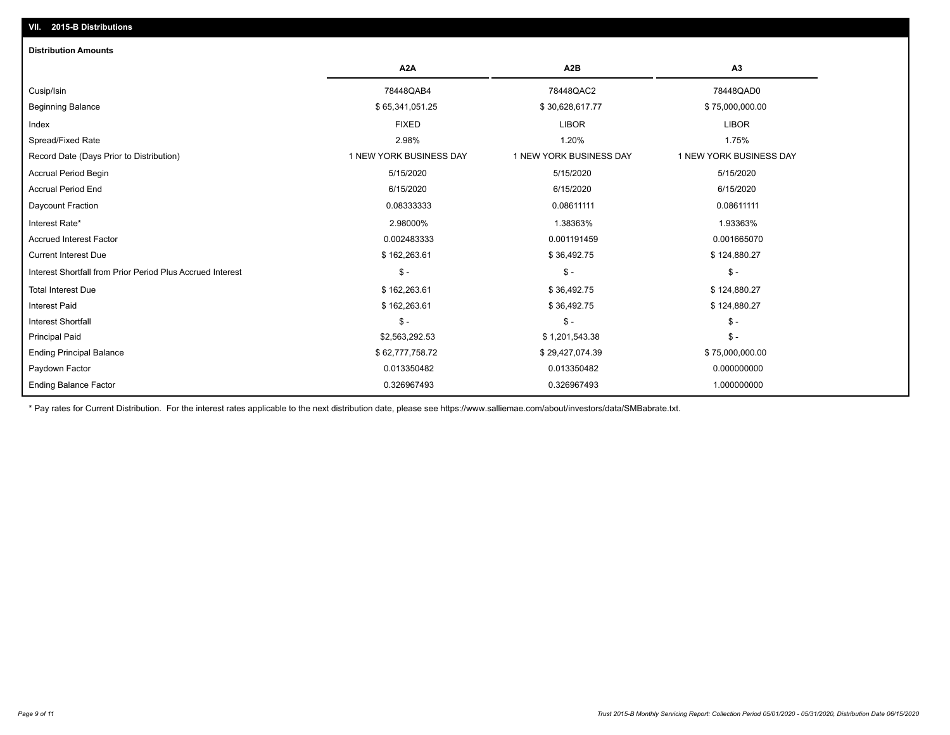# **VII. 2015-B Distributions**

| <b>Distribution Amounts</b>                                |                         |                         |                         |
|------------------------------------------------------------|-------------------------|-------------------------|-------------------------|
|                                                            | A <sub>2</sub> A        | A <sub>2</sub> B        | A3                      |
| Cusip/Isin                                                 | 78448QAB4               | 78448QAC2               | 78448QAD0               |
| <b>Beginning Balance</b>                                   | \$65,341,051.25         | \$30,628,617.77         | \$75,000,000.00         |
| Index                                                      | <b>FIXED</b>            | <b>LIBOR</b>            | <b>LIBOR</b>            |
| Spread/Fixed Rate                                          | 2.98%                   | 1.20%                   | 1.75%                   |
| Record Date (Days Prior to Distribution)                   | 1 NEW YORK BUSINESS DAY | 1 NEW YORK BUSINESS DAY | 1 NEW YORK BUSINESS DAY |
| <b>Accrual Period Begin</b>                                | 5/15/2020               | 5/15/2020               | 5/15/2020               |
| <b>Accrual Period End</b>                                  | 6/15/2020               | 6/15/2020               | 6/15/2020               |
| Daycount Fraction                                          | 0.08333333              | 0.08611111              | 0.08611111              |
| Interest Rate*                                             | 2.98000%                | 1.38363%                | 1.93363%                |
| <b>Accrued Interest Factor</b>                             | 0.002483333             | 0.001191459             | 0.001665070             |
| <b>Current Interest Due</b>                                | \$162,263.61            | \$36,492.75             | \$124,880.27            |
| Interest Shortfall from Prior Period Plus Accrued Interest | $\mathsf{\$}$ -         | $\mathsf{\$}$ -         | $\mathsf{\$}$ -         |
| <b>Total Interest Due</b>                                  | \$162,263.61            | \$36,492.75             | \$124,880.27            |
| <b>Interest Paid</b>                                       | \$162,263.61            | \$36,492.75             | \$124,880.27            |
| <b>Interest Shortfall</b>                                  | $\frac{1}{2}$           | $\mathcal{S}$ -         | $\mathcal{S}$ -         |
| <b>Principal Paid</b>                                      | \$2,563,292.53          | \$1,201,543.38          | $\mathsf{\$}$ -         |
| <b>Ending Principal Balance</b>                            | \$62,777,758.72         | \$29,427,074.39         | \$75,000,000.00         |
| Paydown Factor                                             | 0.013350482             | 0.013350482             | 0.000000000             |
| <b>Ending Balance Factor</b>                               | 0.326967493             | 0.326967493             | 1.000000000             |

\* Pay rates for Current Distribution. For the interest rates applicable to the next distribution date, please see https://www.salliemae.com/about/investors/data/SMBabrate.txt.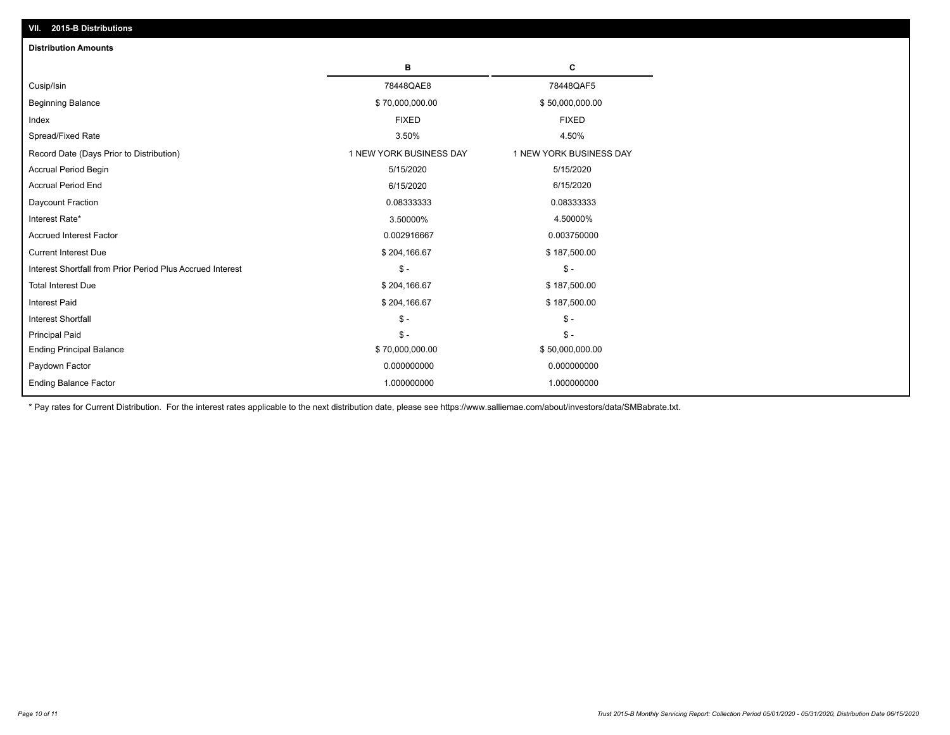| VII. 2015-B Distributions                                  |                         |                         |
|------------------------------------------------------------|-------------------------|-------------------------|
| <b>Distribution Amounts</b>                                |                         |                         |
|                                                            | в                       | C                       |
| Cusip/Isin                                                 | 78448QAE8               | 78448QAF5               |
| <b>Beginning Balance</b>                                   | \$70,000,000.00         | \$50,000,000.00         |
| Index                                                      | <b>FIXED</b>            | <b>FIXED</b>            |
| Spread/Fixed Rate                                          | 3.50%                   | 4.50%                   |
| Record Date (Days Prior to Distribution)                   | 1 NEW YORK BUSINESS DAY | 1 NEW YORK BUSINESS DAY |
| <b>Accrual Period Begin</b>                                | 5/15/2020               | 5/15/2020               |
| <b>Accrual Period End</b>                                  | 6/15/2020               | 6/15/2020               |
| Daycount Fraction                                          | 0.08333333              | 0.08333333              |
| Interest Rate*                                             | 3.50000%                | 4.50000%                |
| <b>Accrued Interest Factor</b>                             | 0.002916667             | 0.003750000             |
| <b>Current Interest Due</b>                                | \$204,166.67            | \$187,500.00            |
| Interest Shortfall from Prior Period Plus Accrued Interest | $\mathsf{\$}$ -         | $\mathsf{\$}$ -         |
| <b>Total Interest Due</b>                                  | \$204,166.67            | \$187,500.00            |
| <b>Interest Paid</b>                                       | \$204,166.67            | \$187,500.00            |
| Interest Shortfall                                         | $\mathcal{S}$ -         | $\frac{1}{2}$           |
| <b>Principal Paid</b>                                      | $\mathsf{\$}$ -         | $\mathsf{\$}$ -         |
| <b>Ending Principal Balance</b>                            | \$70,000,000.00         | \$50,000,000.00         |
| Paydown Factor                                             | 0.000000000             | 0.000000000             |
| <b>Ending Balance Factor</b>                               | 1.000000000             | 1.000000000             |

\* Pay rates for Current Distribution. For the interest rates applicable to the next distribution date, please see https://www.salliemae.com/about/investors/data/SMBabrate.txt.